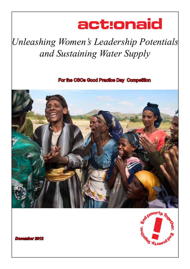# act:onaid

## *Unleashing Women's Leadership Potentials and Sustaining Water Supply*

For the CSOs Good Practice Day Competition





*December 2012*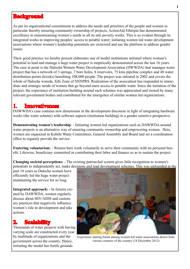#### **Background**

As per its organizational commitment to address the needs and priorities of the people and women in particular thereby ensuring community ownership of projects, ActionAid Ethiopia has demonstrated excellence in mainstreaming women's needs in all its anti poverty works. This is so evident through its integrated works in improving peoples' access to potable water; initiating women led water development associations where women's leadership potentials are exercised and use the platform to address gender issues.

Thew good practice we hereby present elaborates one of model institutions initiated where women's potential to lead and manage a huge water project is empirically demonstrated across the last 16 years. The case in point is the Dalocha Women Water Development Association (DWWDA) that manages water project that has a network of 3 springs, 7 bore holes, 8 reservoirs, 75 kms pipeline complex and 48 water distribution points (kiosks) benefiting 108,000 people. The project was initiated in 2002 and covers the whole of Dalocha woreda, Silti Zone of SNNPRS. Realization of the association has responded to immediate and strategic needs of women that go beyond mere access to potable water. Since the initiation of the project, the experience of institution building around such schemes was appreciated and owned by many relevant government bodies and contributed for the emergence of similar women led organizations.

#### 1. Innovativeness

DAWWDA's case contains new dimensions in the development discourse in light of integrating hardware works (the water scheme) with software aspects (institution building) in a gender sensitive perspective.

**Demonstrating women's leadership**: - Initiating women led organizations such as DAWWDA around water projects is an alternative way of ensuring community ownership and empowering women. Here, women are organized in Kebele Water Committees, General Assembly and Board and set a coordination office to reguraly provide the service.

**Fostering voluntarism:** - Women here work voluntarily to serve their community with no personal benefit. Likewise, beneficiary committed in contributing their labor and finance so as to sustain the project.

**Changing societal perceptions:** - The existing patriarchal system gives little recognition to women's potentials to independently act, make decisions and lead development schemes. This was unfounded in the

past 16 years as Dalocha women have efficiently led the huge water project maintaining the service for so long.

**Integrated approach: -** In forums created by DAWWDA, women regularly discuss about HIV/AIDS and customary practices that negatively influence women's role in development and take actions.

#### **2. Scalability**

Thousands of water projects with having varying scale are constructed every year by multitude of organizations and the government across the country. Hence, initiating the model has fertile grounds



Experience sharing forum among women led water associations drawn from various conrners of the country (18 December 2012)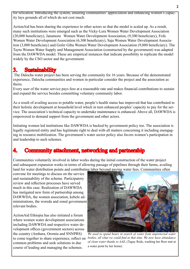for relication. Introducing the system, ensuring communities' appreciation and enhancing women's capacity lays grounds all of which do not cost much.

ActionAid has been sharing the experience to other actors so that the model is scaled up. As a result, many such institutions were emerged such as the Vicky-Lera Women Water Development Association (20,000 beneficiary), Janamora Women Water Development Association, (9,300 beneficiary), Fofa Women Water Development Association (6,300 beneficiary), Saja Women Water Development Association (3,000 beneficiary) and Gofer Giba Women Water Development Association (9,000 beneficiary). The Taytu Women Water Supply and Management Association (constructed by the government) was adapted from the DAWWDA model. These are empirical instances that indicate possibility to replicate the model widely by the CSO sector and the government.

#### 3. Sustainability

 The Dalocha water project has been serving the community for 16 years. Because of the demonstrated experience, Dalocha communities and women in particular consider the project and the association as theirs.

Every user of the water service pays fees at a reasonable rate and makes financial contributions to sustain and expand the service besides committing voluntary community labor.

As a result of availing access to potable water, people's health status has improved that has contributed to their holistic development at household level which in turn enhanced peoples' capacity to pay for the service. The association's technical capacity to undertake maintenance is enhanced. Above all, DAWWDA is empowered to demand support from the government and other actors.

Initiating women led institutions like DAWWDA is backed by government policy too. The association is legally registered entity and has legitimate right to deal with all matters concerning it including enengaging in resource mobilization. The government's water sector policy also favors women's participation in and leadership to such schemes.

#### 4. Community attachment, networking and partnership

Communities voluntarily involved in labor works during the initial construction of the water project and subsequent expansion works in terms of allowing passage of pipelines through their farms, availing land for water distribution points and contributing labor beyond paying water fees. Communities often

convene for meetings to discuss on the service and sustainability of the scheme. Participatory review and reflection processes have served much in this case. Realization of DAWWDA has instigated new form of partnership among DAWWDA, the women association, kebele administrations, the woreda and zonal government relevant bodies.

ActionAid Ethiopia has also initiated a forum where women water development associations including DAWWDA and respective water development offices (government sectors) across the country (Amhara, Oromia and SNNPRS) to come together to share experience, reflect on common problems and seek solutions in due course of leading and managing the schemes.



*We used to spend hours in search of water from unprotected water bodies, all what we could find at that time. We now have abundance of clean water thanks to AAE*, (Tagay Rede, washing her floor mat at a water point by her home)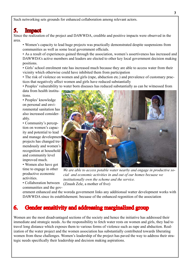Such networking sets grounds for enhanced collaboration among relevant actors.

#### 5. Impact

Since the realization of the project and DAWWDA, credible and positive impacts were observed in the area.

• Women's capacity to lead huge projects was practically demonstrated despite suspensions from communities as well as some local government officials.

• As a result of experiences gained through the association, women's assertiveness has increased and DAWWDA's active members and leaders are elected to other key local government decision making positions.

• Girls' school enrolment rate has increased much because they are able to access water from their vicinity which otherwise could have inhibited them from participation

• The risk of violence on women and girls (rape, abduction etc.) and prevalence of customary practices that negatively affect women and girls have reduced substantially

• Peoples' vulnerability to water born diseases has reduced substantially as can be witnessed from

data from health institutions.

• Peoples' knowledge on personal and environmental sanitation has also increased considerably.

• Community's perception on women's capacity and potential to lead and manage development projects has changed tremendously and women's recognition at household and community level improved much.

• Women also have got time to engage in other productive economic activities.



*We are able to access potable water nearby and engage in productive social and economic activities in and out of our homes becuase we institutionally own the scheme and the service.*  (Zinash Zele, a mother of five)

• Collaboration between communities and the gov-

ernment enhanced and the woreda government links any additionsal watter development works with DAWWDA since its establishement. becuase of the enhanced regonition of the association

#### 6. Gender sensitivity and addressing marginalized group

Women are the most disadvantaged sections of the society and hence the initiative has addressed their immediate and strategic needs. As the responsibility to fetch water rests on women and girls, they had to travel long distance which exposes them to various forms of violence such as rape and abduction. Realization of the water project and the women association has substantially contributed towards liberating women from these challenges. Women's leadership of the project has paved the way to address their strategic needs specifically their leadership and decision making aspirations.